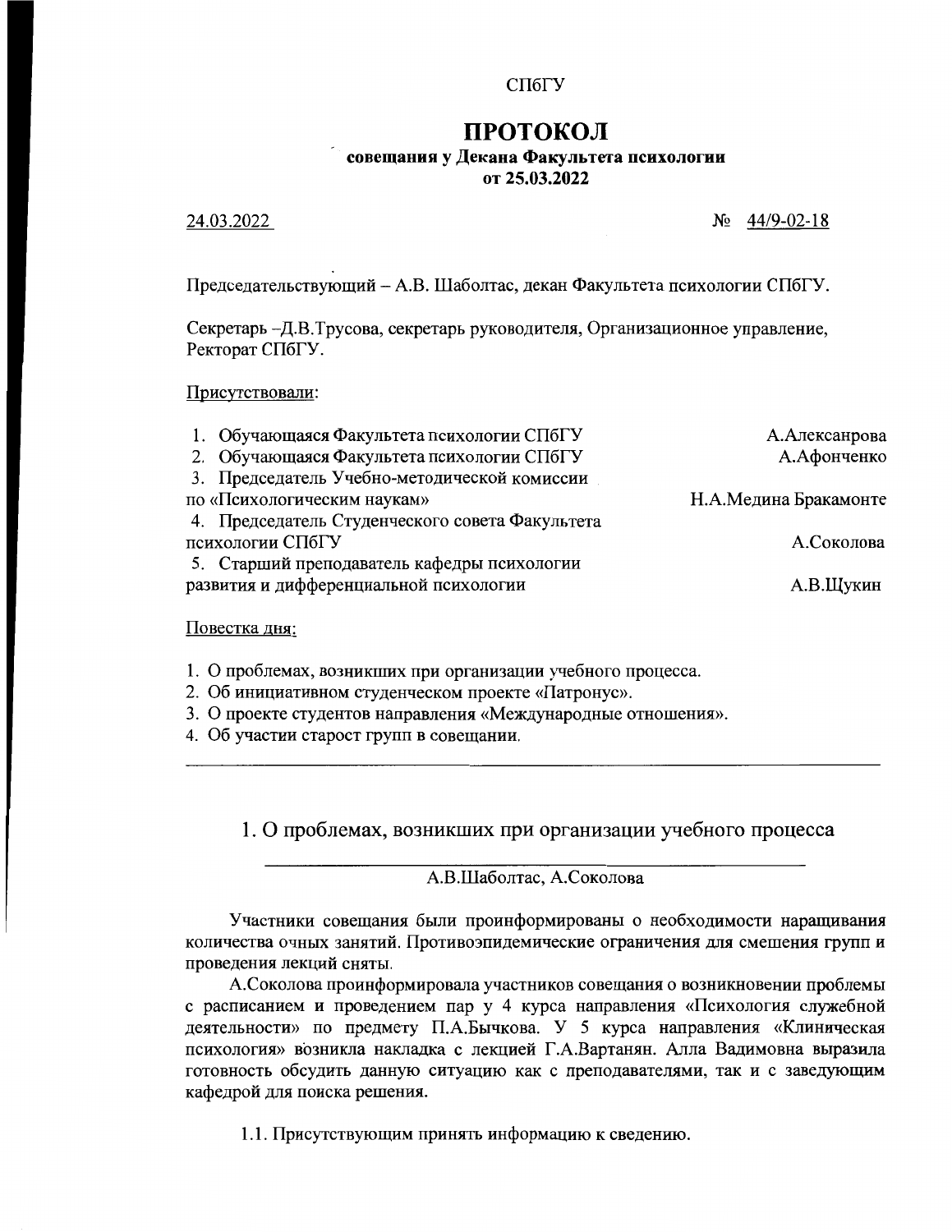### СПбГУ

# ПРОТОКОЛ совещания у Декана Факультета психологии от 25.03.2022

#### 24.03.2022

 $N_2$  44/9-02-18

Председательствующий - А.В. Шаболтас, декан Факультета психологии СПбГУ.

Секретарь -Д.В.Трусова, секретарь руководителя, Организационное управление, Ректорат СПбГУ.

#### Присутствовали:

| 1. Обучающаяся Факультета психологии СПбГУ      | А. Алексанрова        |
|-------------------------------------------------|-----------------------|
| 2. Обучающаяся Факультета психологии СПбГУ      | А.Афонченко           |
| 3. Председатель Учебно-методической комиссии    |                       |
| по «Психологическим наукам»                     | Н.А.Медина Бракамонте |
| 4. Председатель Студенческого совета Факультета |                       |
| психологии СПбГУ                                | А.Соколова            |
| 5. Старший преподаватель кафедры психологии     |                       |
| развития и дифференциальной психологии          | А.В.Щукин             |
|                                                 |                       |

#### Повестка дня:

1. О проблемах, возникших при организации учебного процесса.

2. Об инициативном студенческом проекте «Патронус».

3. О проекте студентов направления «Международные отношения».

4. Об участии старост групп в совещании.

1. О проблемах, возникших при организации учебного процесса

А.В.Шаболтас, А.Соколова

Участники совещания были проинформированы о необходимости наращивания количества очных занятий. Противоэпидемические ограничения для смешения групп и проведения лекций сняты.

А. Соколова проинформировала участников совещания о возникновении проблемы с расписанием и проведением пар у 4 курса направления «Психология служебной деятельности» по предмету П.А.Бычкова. У 5 курса направления «Клиническая психология» возникла накладка с лекцией Г.А.Вартанян. Алла Вадимовна выразила готовность обсудить данную ситуацию как с преподавателями, так и с заведующим кафедрой для поиска решения.

1.1. Присутствующим принять информацию к сведению.